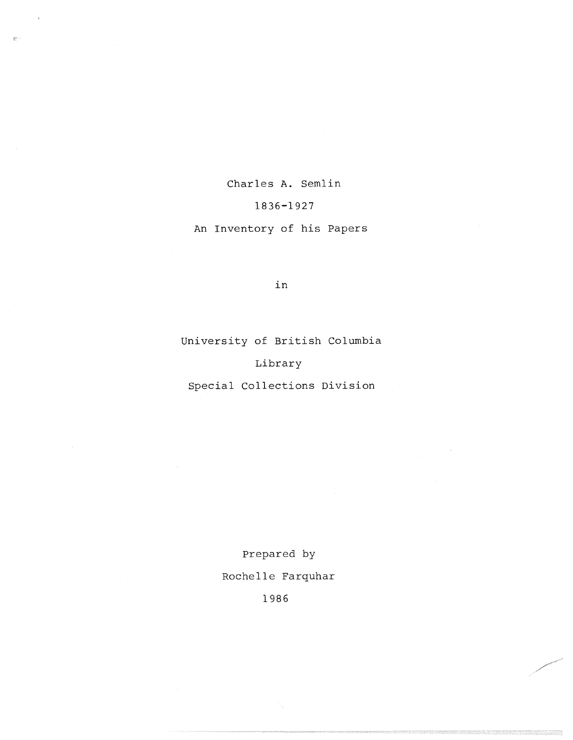Charles A. Semlin

# 1836-192 7

# An Inventory of his Papers

in

University of British Columbia

### Library

Special Collections Division

Prepared by Rochelle Farquhar

1986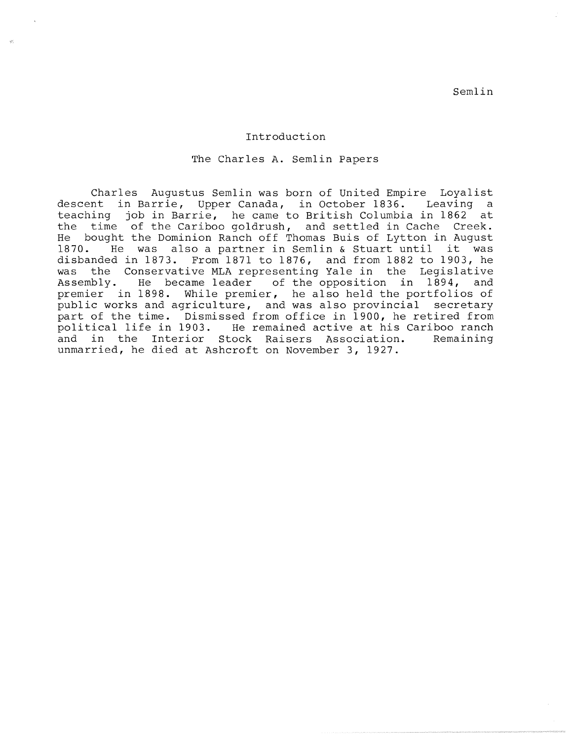Semlin

#### Introduction

The Charles A. Semlin Papers

Charles Augustus Semlin was born of United Empire Loyalist descent in Barrie, Upper Canada, in October 1836. Leaving a teaching job in Barrie, he came to British Columbia in 1862 at the time of the Cariboo goldrush, and settled in Cache Creek.<br>He bought the Dominion Ranch off Thomas Buis of Lytton in August bought the Dominion Ranch off Thomas Buis of Lytton in August 1870. He was also a partner in Semlin & Stuart until it was disbanded in 1873. From 1871 to 1876, and from 1882 to 1903, he was the Conservative MLA representing Yale in the Legislative Assembly. He became leader of the opposition in 1894, and premier in 1898. While premier, he also held the portfolios of public works and agriculture, and was also provincial secretary part of the time. Dismissed from office in 1900, he retired from<br>political life in 1903. He remained active at his Cariboo ranch He remained active at his Cariboo ranch and in the Interior Stock Raisers Association. Remaining unmarried, he died at Ashcroft on November 3, 1927 .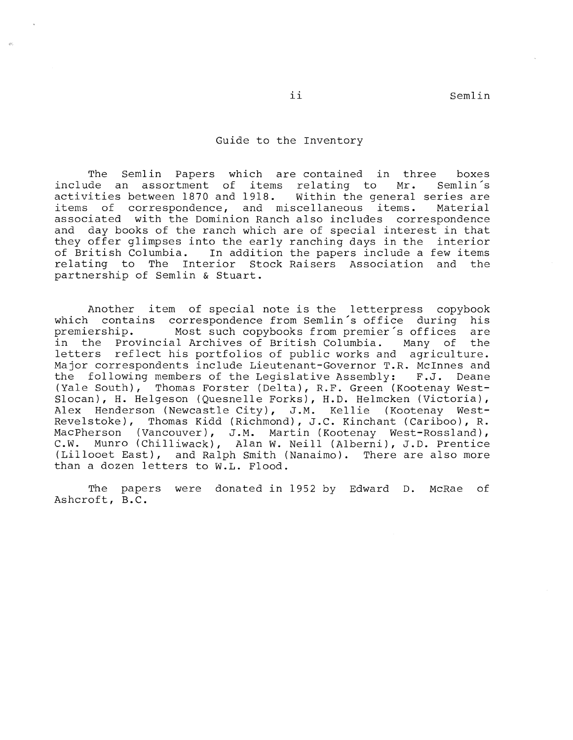Semlin

#### Guide to the Inventory

The Semlin Papers which are-contained in three boxes<br>de an assortment of items relating to Mr. Semlin's include an assortment of items relating to Mr. Semlin's<br>activities between 1870 and 1918. Within the general series are activities between 1870 and 1918.<br>items of correspondence, and m and miscellaneous items. Material associated with the Dominion Ranch also includes correspondence and day books of the ranch which are of special interest in that they offer glimpses into the early ranching days in the interior<br>of British Columbia. In addition the papers include a few items In addition the papers include a few items relating to The Interior Stock Raisers Association and the partnership of Semlin & Stuart .

Another item of special note is the letterpress copybook which contains correspondence from Semlin's office during his<br>premiership. Most such copybooks from premier's offices are premiership. Most such copybooks from premier's offices<br>in the Provincial Archives of British Columbia. Many of the Provincial Archives of British Columbia. Many of the letters reflect his portfolios of public works and agriculture. Major correspondents include Lieutenant-Governor T.R. McInnes and the following members of the Legislative Assembly: F.J. Deane (Yale South), Thomas Forster (Delta), R.F. Green (Kootenay West-Slocan), H. Helgeson (Quesnelle Forks), H.D. Helmcken (Victoria), Alex Henderson (Newcastle City), J.M. Kellie (Kootenay West-Revelstoke), Thomas Kidd (Richmond), J.C. Kinchant (Cariboo), R. MacPherson (Vancouver), J.M. Martin (Kootenay West-Rossland), C.W. Munro (Chilliwack), Alan W. Neill (Alberni), J.D. Prentice (Lillooet East), and Ralph Smith (Nanaimo). There are also more than a dozen letters to W.L. Flood.

The papers were donated in 1952 by Edward D. McRae of Ashcroft, B.C.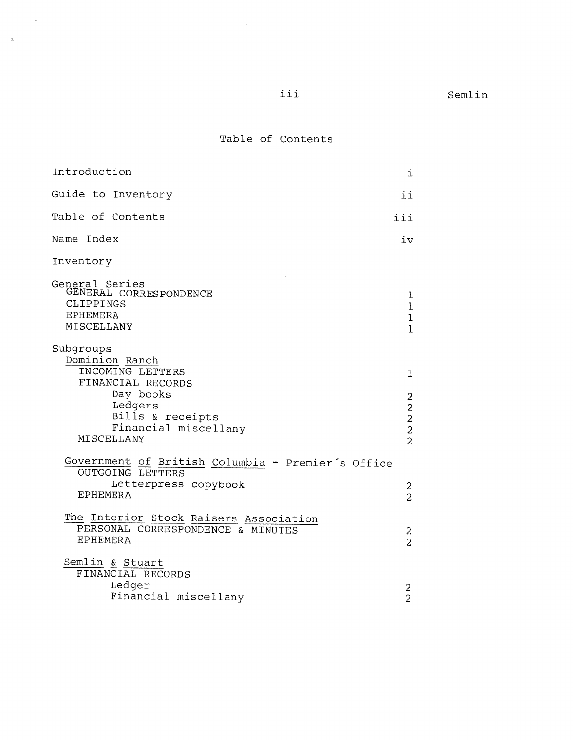## Table of Contents

 $\sim$ 

 $\langle \hat{\rho}_i \rangle$ 

| Introduction                                                                                                            | i                                                      |
|-------------------------------------------------------------------------------------------------------------------------|--------------------------------------------------------|
| Guide to Inventory                                                                                                      | ii                                                     |
| Table of Contents                                                                                                       | iii                                                    |
| Name Index                                                                                                              | iv                                                     |
| Inventory                                                                                                               |                                                        |
| General Series<br>GENERAL CORRESPONDENCE<br>CLIPPINGS<br><b>EPHEMERA</b><br>MISCELLANY                                  | 1<br>1<br>$\mathbf{1}$<br>$\mathbf{I}$                 |
| Subgroups<br>Dominion Ranch<br>INCOMING LETTERS<br>FINANCIAL RECORDS                                                    | 1                                                      |
| Day books<br>Ledgers<br>Bills & receipts<br>Financial miscellany<br>MISCELLANY                                          | 2<br>$\frac{2}{2}$<br>$\overline{c}$<br>$\overline{2}$ |
| Government of British Columbia - Premier's Office<br><b>OUTGOING LETTERS</b><br>Letterpress copybook<br><b>EPHEMERA</b> | 2<br>$\overline{2}$                                    |
| The Interior Stock Raisers Association<br>PERSONAL CORRESPONDENCE & MINUTES<br><b>EPHEMERA</b>                          | 2<br>$\overline{2}$                                    |
| Semlin & Stuart<br>FINANCIAL RECORDS<br>Ledger<br>Financial miscellany                                                  | 2<br>$\overline{2}$                                    |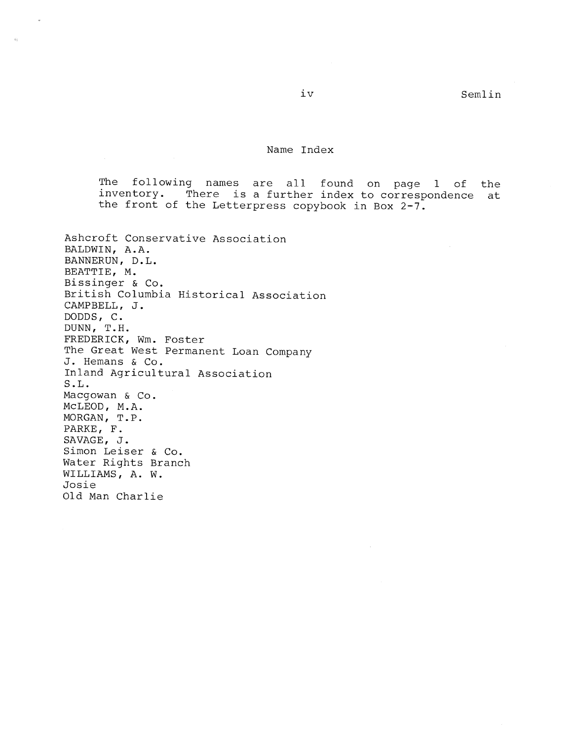$\sim$ 

### Name Index

The following names are all found on page 1 of the inventory. There is a further index to correspondence at the front of the Letterpress copybook in Box 2-7.

| Ashcroft Conservative Association       |
|-----------------------------------------|
| BALDWIN, A.A.                           |
| BANNERUN, D.L.                          |
| BEATTIE, M.                             |
| Bissinger & Co.                         |
| British Columbia Historical Association |
| CAMPBELL, J.                            |
| DODDS, C.                               |
| DUNN, T.H.                              |
| FREDERICK, Wm. Foster                   |
| The Great West Permanent Loan Company   |
| J. Hemans & Co.                         |
| Inland Agricultural Association         |
| S.L.                                    |
| Macgowan & Co.                          |
| MCLEOD, M.A.                            |
| MORGAN, T.P.                            |
| PARKE, F.                               |
| SAVAGE, J.                              |
| Simon Leiser & Co.                      |
| Water Rights Branch                     |
| WILLIAMS, A. W.                         |
| Josie                                   |
| Old Man Charlie                         |

 $\omega$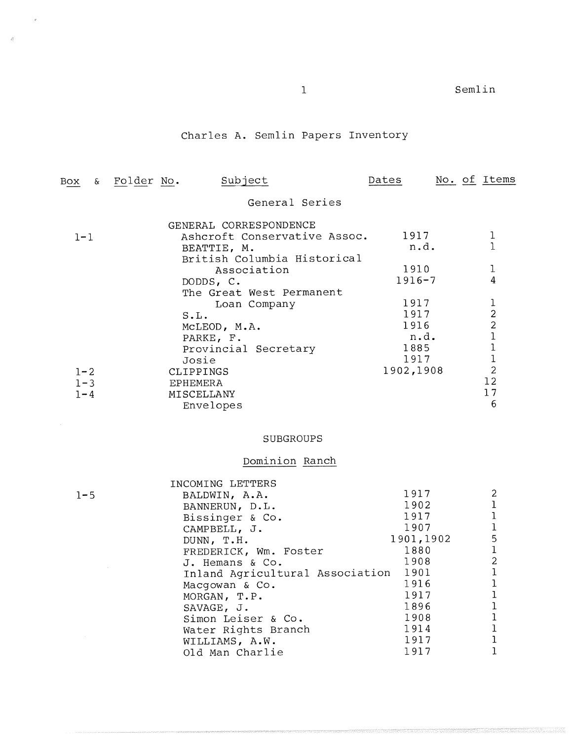# Charles A. Semlin Papers Inventory

 $\epsilon$ 

 $\bar{R}$ 

| Box     | & Folder No. |                 | Subject                      | Dates      |  | No. of Items            |
|---------|--------------|-----------------|------------------------------|------------|--|-------------------------|
|         |              |                 | General Series               |            |  |                         |
|         |              |                 | GENERAL CORRESPONDENCE       |            |  |                         |
| $1 - 1$ |              |                 | Ashcroft Conservative Assoc. | 1917       |  |                         |
|         |              |                 | BEATTIE, M.                  | n.d.       |  |                         |
|         |              |                 | British Columbia Historical  |            |  |                         |
|         |              |                 | Association                  | 1910       |  |                         |
|         |              | DODDS, C.       |                              | $1916 - 7$ |  | 4                       |
|         |              |                 | The Great West Permanent     |            |  |                         |
|         |              |                 | Loan Company                 | 1917       |  | 1                       |
|         |              | S.L.            |                              | 1917       |  | $\overline{2}$          |
|         |              |                 | MCLEOD, M.A.                 | 1916       |  | $\overline{\mathbf{c}}$ |
|         |              | PARKE, F.       |                              | n.d.       |  |                         |
|         |              |                 | Provincial Secretary         | 1885       |  |                         |
|         |              | Josie           |                              | 1917       |  |                         |
| $1 - 2$ |              | CLIPPINGS       |                              | 1902,1908  |  | $\overline{2}$          |
| $1 - 3$ |              | <b>EPHEMERA</b> |                              |            |  | 12                      |
| $1 - 4$ |              | MISCELLANY      |                              |            |  | 17                      |
|         |              | Envelopes       |                              |            |  | 6                       |
|         |              |                 |                              |            |  |                         |

# SUBGROUPS

# Dominion Ranch

|         | INCOMING LETTERS                |           |                |
|---------|---------------------------------|-----------|----------------|
| $1 - 5$ | BALDWIN, A.A.                   | 1917      | 2              |
|         | BANNERUN, D.L.                  | 1902      |                |
|         | Bissinger & Co.                 | 1917      |                |
|         | CAMPBELL, J.                    | 1907      | 1              |
|         | DUNN, T.H.                      | 1901,1902 | 5              |
|         | FREDERICK, Wm. Foster           | 1880      | 1              |
|         | J. Hemans & Co.                 | 1908      | $\overline{c}$ |
|         | Inland Agricultural Association | 1901      | 1              |
|         | Macqowan & Co.                  | 1916      |                |
|         | MORGAN, T.P.                    | 1917      |                |
|         | SAVAGE, J.                      | 1896      |                |
|         | Simon Leiser & Co.              | 1908      |                |
|         | Water Rights Branch             | 1914      |                |
|         | WILLIAMS, A.W.                  | 1917      |                |
|         | Old Man Charlie                 | 1917      |                |
|         |                                 |           |                |